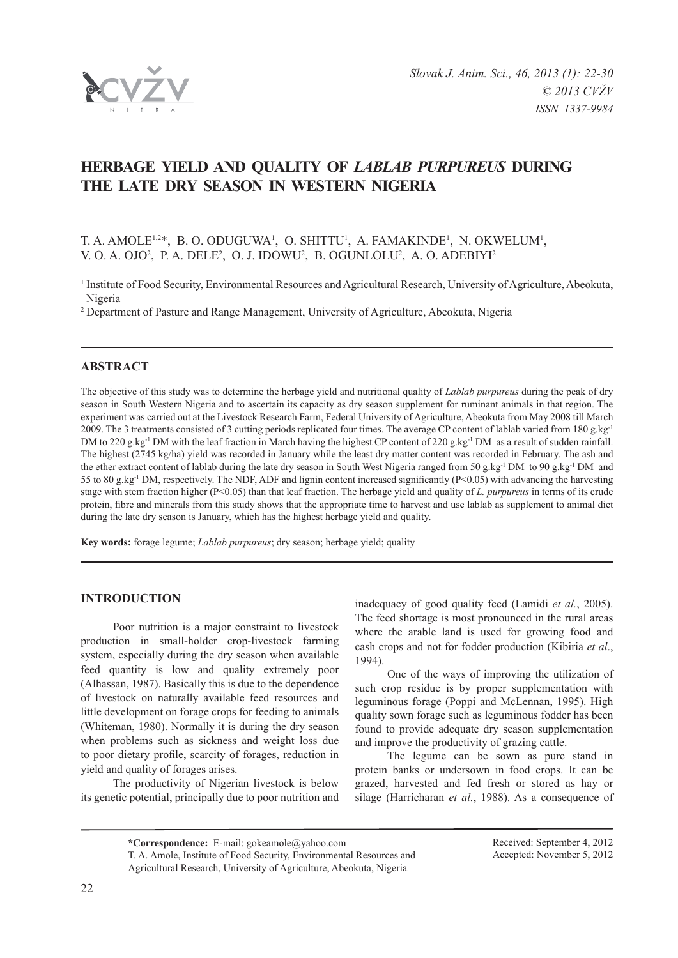

# **HERBAGE YIELD AND QUALITY OF** *Lablab Purpureus* **DURING THE LATE DRY SEASON IN WESTERN NIGERIA**

# T. A. AMOLE<sup>1,2\*</sup>, B. O. ODUGUWA<sup>1</sup>, O. SHITTU<sup>1</sup>, A. FAMAKINDE<sup>1</sup>, N. OKWELUM<sup>1</sup>, V. O. A. OJO<sup>2</sup>, P. A. DELE<sup>2</sup>, O. J. IDOWU<sup>2</sup>, B. OGUNLOLU<sup>2</sup>, A. O. ADEBIYI<sup>2</sup>

<sup>1</sup> Institute of Food Security, Environmental Resources and Agricultural Research, University of Agriculture, Abeokuta, Nigeria

<sup>2</sup> Department of Pasture and Range Management, University of Agriculture, Abeokuta, Nigeria

# **ABSTRACT**

The objective of this study was to determine the herbage yield and nutritional quality of *Lablab purpureus* during the peak of dry season in South Western Nigeria and to ascertain its capacity as dry season supplement for ruminant animals in that region. The experiment was carried out at the Livestock Research Farm, Federal University of Agriculture, Abeokuta from May 2008 till March 2009. The 3 treatments consisted of 3 cutting periods replicated four times. The average CP content of lablab varied from 180 g.kg<sup>-1</sup> DM to 220 g.kg<sup>-1</sup> DM with the leaf fraction in March having the highest CP content of 220 g.kg<sup>-1</sup> DM as a result of sudden rainfall. The highest (2745 kg/ha) yield was recorded in January while the least dry matter content was recorded in February. The ash and the ether extract content of lablab during the late dry season in South West Nigeria ranged from 50 g.kg-1 DM to 90 g.kg-1 DM and 55 to 80 g.kg-1 DM, respectively. The NDF, ADF and lignin content increased significantly (P<0.05) with advancing the harvesting stage with stem fraction higher (P<0.05) than that leaf fraction. The herbage yield and quality of *L. purpureus* in terms of its crude protein, fibre and minerals from this study shows that the appropriate time to harvest and use lablab as supplement to animal diet during the late dry season is January, which has the highest herbage yield and quality.

**Key words:** forage legume; *Lablab purpureus*; dry season; herbage yield; quality

## **INTRODUCTION**

Poor nutrition is a major constraint to livestock production in small-holder crop-livestock farming system, especially during the dry season when available feed quantity is low and quality extremely poor (Alhassan, 1987). Basically this is due to the dependence of livestock on naturally available feed resources and little development on forage crops for feeding to animals (Whiteman, 1980). Normally it is during the dry season when problems such as sickness and weight loss due to poor dietary profile, scarcity of forages, reduction in yield and quality of forages arises.

The productivity of Nigerian livestock is below its genetic potential, principally due to poor nutrition and inadequacy of good quality feed (Lamidi *et al.*, 2005). The feed shortage is most pronounced in the rural areas where the arable land is used for growing food and cash crops and not for fodder production (Kibiria *et al*., 1994).

One of the ways of improving the utilization of such crop residue is by proper supplementation with leguminous forage (Poppi and McLennan, 1995). High quality sown forage such as leguminous fodder has been found to provide adequate dry season supplementation and improve the productivity of grazing cattle.

The legume can be sown as pure stand in protein banks or undersown in food crops. It can be grazed, harvested and fed fresh or stored as hay or silage (Harricharan *et al.*, 1988). As a consequence of

**\*Correspondence:** E-mail: gokeamole@yahoo.com

T. A. Amole, Institute of Food Security, Environmental Resources and Agricultural Research, University of Agriculture, Abeokuta, Nigeria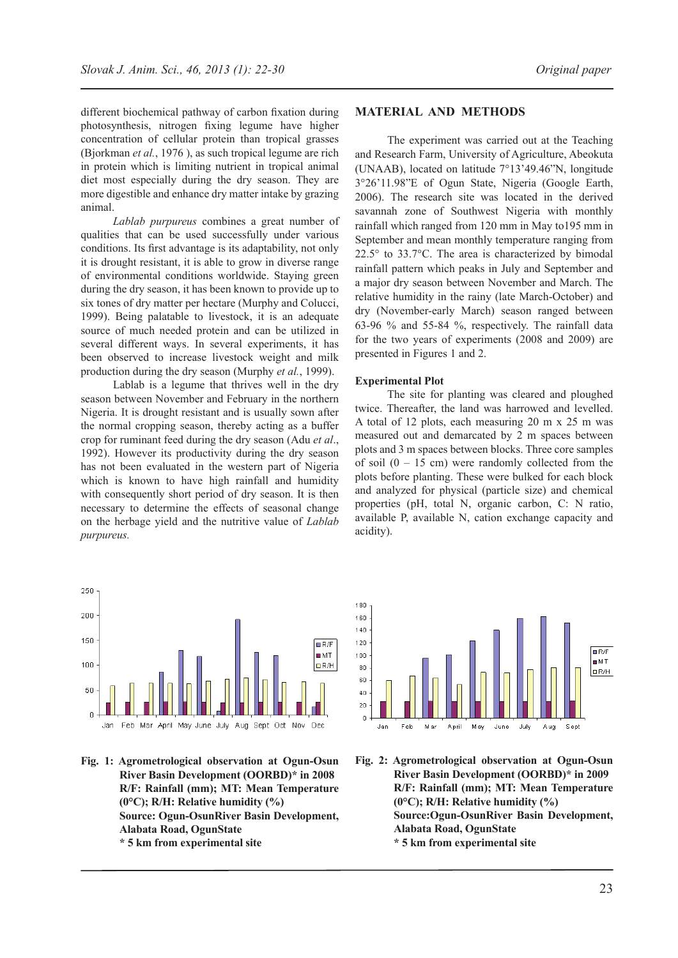different biochemical pathway of carbon fixation during photosynthesis, nitrogen fixing legume have higher concentration of cellular protein than tropical grasses (Bjorkman *et al.*, 1976 ), as such tropical legume are rich in protein which is limiting nutrient in tropical animal diet most especially during the dry season. They are more digestible and enhance dry matter intake by grazing animal.

*Lablab purpureus* combines a great number of qualities that can be used successfully under various conditions. Its first advantage is its adaptability, not only it is drought resistant, it is able to grow in diverse range of environmental conditions worldwide. Staying green during the dry season, it has been known to provide up to six tones of dry matter per hectare (Murphy and Colucci, 1999). Being palatable to livestock, it is an adequate source of much needed protein and can be utilized in several different ways. In several experiments, it has been observed to increase livestock weight and milk production during the dry season (Murphy *et al.*, 1999).

Lablab is a legume that thrives well in the dry season between November and February in the northern Nigeria. It is drought resistant and is usually sown after the normal cropping season, thereby acting as a buffer crop for ruminant feed during the dry season (Adu *et al*., 1992). However its productivity during the dry season has not been evaluated in the western part of Nigeria which is known to have high rainfall and humidity with consequently short period of dry season. It is then necessary to determine the effects of seasonal change on the herbage yield and the nutritive value of *Lablab purpureus.*



The experiment was carried out at the Teaching and Research Farm, University of Agriculture, Abeokuta (UNAAB), located on latitude 7°13'49.46"N, longitude 3°26'11.98"E of Ogun State, Nigeria (Google Earth, 2006). The research site was located in the derived savannah zone of Southwest Nigeria with monthly rainfall which ranged from 120 mm in May to195 mm in September and mean monthly temperature ranging from 22.5° to 33.7°C. The area is characterized by bimodal rainfall pattern which peaks in July and September and a major dry season between November and March. The relative humidity in the rainy (late March-October) and dry (November-early March) season ranged between 63-96 % and 55-84 %, respectively. The rainfall data for the two years of experiments (2008 and 2009) are presented in Figures 1 and 2.

#### **Experimental Plot**

The site for planting was cleared and ploughed twice. Thereafter, the land was harrowed and levelled. A total of 12 plots, each measuring 20 m x 25 m was measured out and demarcated by 2 m spaces between plots and 3 m spaces between blocks. Three core samples of soil  $(0 - 15$  cm) were randomly collected from the plots before planting. These were bulked for each block and analyzed for physical (particle size) and chemical properties (pH, total N, organic carbon, C: N ratio, available P, available N, cation exchange capacity and acidity).



**Fig. 1: Agrometrological observation at Ogun-Osun River Basin Development (OORBD)\* in 2008 R/F: Rainfall (mm); MT: Mean Temperature (0°C); R/H: Relative humidity (%) Source: Ogun-OsunRiver Basin Development, Alabata Road, OgunState \* 5 km from experimental site**



**Fig. 2: Agrometrological observation at Ogun-Osun River Basin Development (OORBD)\* in 2009 R/F: Rainfall (mm); MT: Mean Temperature (0°C); R/H: Relative humidity (%) Source:Ogun-OsunRiver Basin Development, Alabata Road, OgunState \* 5 km from experimental site**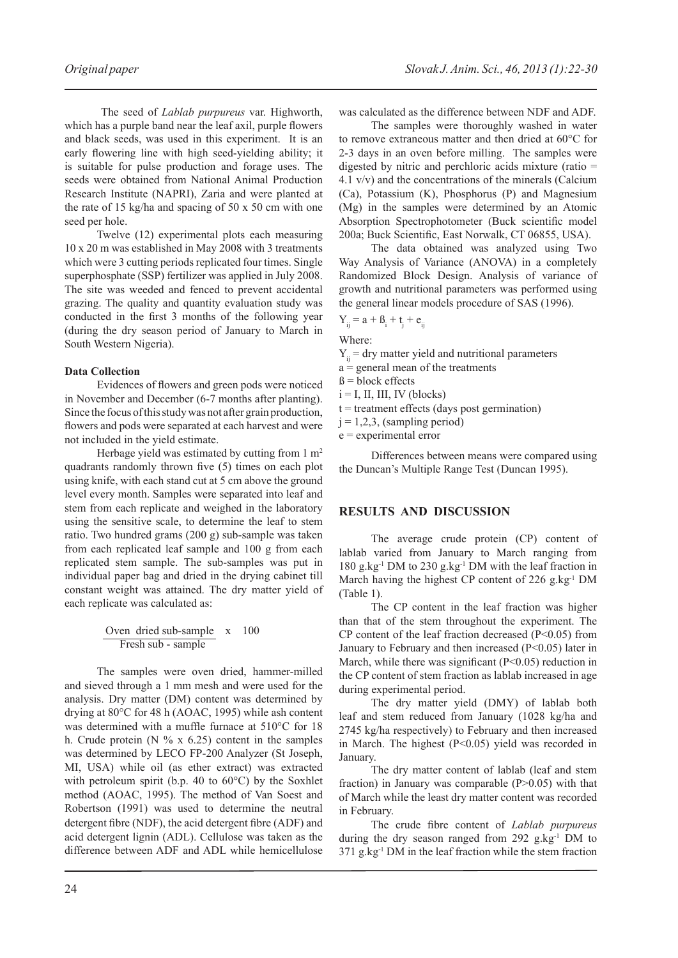The seed of *Lablab purpureus* var. Highworth, which has a purple band near the leaf axil, purple flowers and black seeds, was used in this experiment. It is an early flowering line with high seed-yielding ability; it is suitable for pulse production and forage uses. The seeds were obtained from National Animal Production Research Institute (NAPRI), Zaria and were planted at the rate of 15 kg/ha and spacing of 50 x 50 cm with one seed per hole.

Twelve (12) experimental plots each measuring 10 x 20 m was established in May 2008 with 3 treatments which were 3 cutting periods replicated four times. Single superphosphate (SSP) fertilizer was applied in July 2008. The site was weeded and fenced to prevent accidental grazing. The quality and quantity evaluation study was conducted in the first 3 months of the following year (during the dry season period of January to March in South Western Nigeria).

#### **Data Collection**

Evidences of flowers and green pods were noticed in November and December (6-7 months after planting). Since the focus of this study was not after grain production, flowers and pods were separated at each harvest and were not included in the yield estimate.

Herbage yield was estimated by cutting from 1 m<sup>2</sup> quadrants randomly thrown five (5) times on each plot using knife, with each stand cut at 5 cm above the ground level every month. Samples were separated into leaf and stem from each replicate and weighed in the laboratory using the sensitive scale, to determine the leaf to stem ratio. Two hundred grams (200 g) sub-sample was taken from each replicated leaf sample and 100 g from each replicated stem sample. The sub-samples was put in individual paper bag and dried in the drying cabinet till constant weight was attained. The dry matter yield of each replicate was calculated as:

| Over               | dried sub-sample | $x$   | $100$ |
|--------------------|------------------|-------|-------|
| Fresh sub - sample | $x$              | $100$ |       |

The samples were oven dried, hammer-milled and sieved through a 1 mm mesh and were used for the analysis. Dry matter (DM) content was determined by drying at 80°C for 48 h (AOAC, 1995) while ash content was determined with a muffle furnace at 510°C for 18 h. Crude protein (N  $\%$  x 6.25) content in the samples was determined by LECO FP-200 Analyzer (St Joseph, MI, USA) while oil (as ether extract) was extracted with petroleum spirit (b.p. 40 to 60°C) by the Soxhlet method (AOAC, 1995). The method of Van Soest and Robertson (1991) was used to determine the neutral detergent fibre (NDF), the acid detergent fibre (ADF) and acid detergent lignin (ADL). Cellulose was taken as the difference between ADF and ADL while hemicellulose

was calculated as the difference between NDF and ADF.

The samples were thoroughly washed in water to remove extraneous matter and then dried at 60°C for 2-3 days in an oven before milling. The samples were digested by nitric and perchloric acids mixture (ratio = 4.1 v/v) and the concentrations of the minerals (Calcium (Ca), Potassium (K), Phosphorus (P) and Magnesium (Mg) in the samples were determined by an Atomic Absorption Spectrophotometer (Buck scientific model 200a; Buck Scientific, East Norwalk, CT 06855, USA).

The data obtained was analyzed using Two Way Analysis of Variance (ANOVA) in a completely Randomized Block Design. Analysis of variance of growth and nutritional parameters was performed using the general linear models procedure of SAS (1996).

$$
Y_{ij} = a + \beta_i + t_j + e_{ij}
$$

Where:

- $Y_{ii}$  = dry matter yield and nutritional parameters
- $a =$  general mean of the treatments
- $\beta$  = block effects
- $i = I$ , II, III, IV (blocks)
- $t =$  treatment effects (days post germination)
- $j = 1,2,3$ , (sampling period)
- e = experimental error

Differences between means were compared using the Duncan's Multiple Range Test (Duncan 1995).

#### **Results and discussion**

The average crude protein (CP) content of lablab varied from January to March ranging from 180 g.kg-1 DM to 230 g.kg-1 DM with the leaf fraction in March having the highest CP content of 226 g.kg<sup>-1</sup> DM (Table 1).

The CP content in the leaf fraction was higher than that of the stem throughout the experiment. The CP content of the leaf fraction decreased  $(P<0.05)$  from January to February and then increased (P<0.05) later in March, while there was significant  $(P<0.05)$  reduction in the CP content of stem fraction as lablab increased in age during experimental period.

The dry matter yield (DMY) of lablab both leaf and stem reduced from January (1028 kg/ha and 2745 kg/ha respectively) to February and then increased in March. The highest (P<0.05) yield was recorded in January.

The dry matter content of lablab (leaf and stem fraction) in January was comparable  $(P>0.05)$  with that of March while the least dry matter content was recorded in February.

The crude fibre content of *Lablab purpureus* during the dry season ranged from  $292$  g.kg<sup>-1</sup> DM to  $371$  g.kg<sup>-1</sup> DM in the leaf fraction while the stem fraction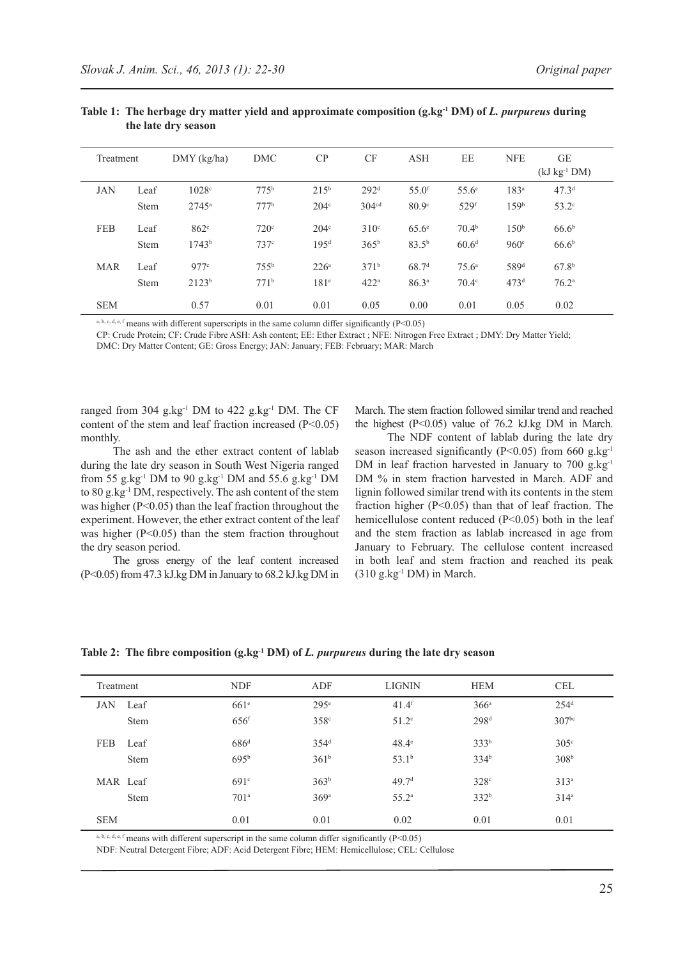| Treatment  |             | $DMY$ (kg/ha)     | DMC              | CP               | CF                | <b>ASH</b>          | EE                 | <b>NFE</b>       | <b>GE</b><br>$(kJ kg-1 DM)$ |
|------------|-------------|-------------------|------------------|------------------|-------------------|---------------------|--------------------|------------------|-----------------------------|
| <b>JAN</b> | Leaf        | 1028c             | $775^{\rm b}$    | $215^{\rm b}$    | 292 <sup>d</sup>  | $55.0$ <sup>f</sup> | $55.6^{\circ}$     | 183 <sup>a</sup> | 47.3 <sup>d</sup>           |
|            | <b>Stem</b> | $2745^{\circ}$    | 777 <sup>b</sup> | 204 <sup>c</sup> | 304 <sup>cd</sup> | 80.9 <sup>c</sup>   | $529$ <sup>f</sup> | 159 <sup>b</sup> | $53.2^\circ$                |
| <b>FEB</b> | Leaf        | $862^\circ$       | 720 <sup>c</sup> | 204 <sup>c</sup> | 310 <sup>c</sup>  | $65.6^{\circ}$      | 70.4 <sup>b</sup>  | 150 <sup>b</sup> | 66.6 <sup>b</sup>           |
|            | <b>Stem</b> | 1743 <sup>b</sup> | 737c             | 195 <sup>d</sup> | $365^{\rm b}$     | $83.5^{b}$          | 60.6 <sup>d</sup>  | 960°             | 66.6 <sup>b</sup>           |
| <b>MAR</b> | Leaf        | 977c              | $755^{\rm b}$    | $226^{\circ}$    | 371 <sup>b</sup>  | 68.7 <sup>d</sup>   | $75.6^{\circ}$     | 589 <sup>d</sup> | 67.8 <sup>b</sup>           |
|            | <b>Stem</b> | 2123 <sup>b</sup> | 771 <sup>b</sup> | 181 <sup>e</sup> | 422 <sup>a</sup>  | 86.3 <sup>a</sup>   | $70.4^\circ$       | 473 <sup>d</sup> | 76.2 <sup>a</sup>           |
| <b>SEM</b> |             | 0.57              | 0.01             | 0.01             | 0.05              | 0.00                | 0.01               | 0.05             | 0.02                        |

#### **Table 1: The herbage dry matter yield and approximate composition (g.kg-1 DM) of** *L. purpureus* **during the late dry season**

a, b, c, d, e, f means with different superscripts in the same column differ significantly ( $P < 0.05$ )

CP: Crude Protein; CF: Crude Fibre ASH: Ash content; EE: Ether Extract ; NFE: Nitrogen Free Extract ; DMY: Dry Matter Yield;

DMC: Dry Matter Content; GE: Gross Energy; JAN: January; FEB: February; MAR: March

ranged from 304 g.kg<sup>-1</sup> DM to 422 g.kg<sup>-1</sup> DM. The CF content of the stem and leaf fraction increased  $(P<0.05)$ monthly.

March. The stem fraction followed similar trend and reached the highest  $(P<0.05)$  value of 76.2 kJ.kg DM in March.

The ash and the ether extract content of lablab during the late dry season in South West Nigeria ranged from 55 g.kg-1 DM to 90 g.kg-1 DM and 55.6 g.kg-1 DM to 80 g.kg-1 DM, respectively. The ash content of the stem was higher (P<0.05) than the leaf fraction throughout the experiment. However, the ether extract content of the leaf was higher  $(P<0.05)$  than the stem fraction throughout the dry season period.

The gross energy of the leaf content increased (P<0.05) from 47.3 kJ.kg DM in January to 68.2 kJ.kg DM in

The NDF content of lablab during the late dry season increased significantly (P<0.05) from 660 g.kg $^{-1}$ DM in leaf fraction harvested in January to 700 g.kg<sup>-1</sup> DM % in stem fraction harvested in March. ADF and lignin followed similar trend with its contents in the stem fraction higher (P<0.05) than that of leaf fraction. The hemicellulose content reduced  $(P<0.05)$  both in the leaf and the stem fraction as lablab increased in age from January to February. The cellulose content increased in both leaf and stem fraction and reached its peak  $(310 \text{ g} \cdot \text{kg}^{-1} \text{ DM})$  in March.

## **Table 2: The fibre composition (g.kg-1 DM) of** *L. purpureus* **during the late dry season**

| Treatment  |             | <b>NDF</b>         | ADF              | <b>LIGNIN</b>       | <b>HEM</b>       | <b>CEL</b>        |
|------------|-------------|--------------------|------------------|---------------------|------------------|-------------------|
| <b>JAN</b> | Leaf        | 661 <sup>e</sup>   | 295 <sup>e</sup> | $41.4$ <sup>f</sup> | 366 <sup>a</sup> | 254 <sup>d</sup>  |
|            | <b>Stem</b> | $656$ <sup>f</sup> | 358 <sup>c</sup> | $51.2^\circ$        | 298 <sup>d</sup> | 307 <sup>bc</sup> |
| <b>FEB</b> | Leaf        | 686 <sup>d</sup>   | 354 <sup>d</sup> | $48.4^\circ$        | 333 <sup>b</sup> | 305 <sup>c</sup>  |
|            | <b>Stem</b> | 695 <sup>b</sup>   | 361 <sup>b</sup> | 53.1 <sup>b</sup>   | 334 <sup>b</sup> | 308 <sup>b</sup>  |
|            | MAR Leaf    | $691^\circ$        | 363 <sup>b</sup> | 49.7 <sup>d</sup>   | 328 <sup>c</sup> | 313 <sup>a</sup>  |
|            | <b>Stem</b> | 701 <sup>a</sup>   | 369a             | $55.2^{\rm a}$      | 332 <sup>b</sup> | $314^a$           |
| <b>SEM</b> |             | 0.01               | 0.01             | 0.02                | 0.01             | 0.01              |

a, b, c, d, e, f means with different superscript in the same column differ significantly (P<0.05)

NDF: Neutral Detergent Fibre; ADF: Acid Detergent Fibre; HEM: Hemicellulose; CEL: Cellulose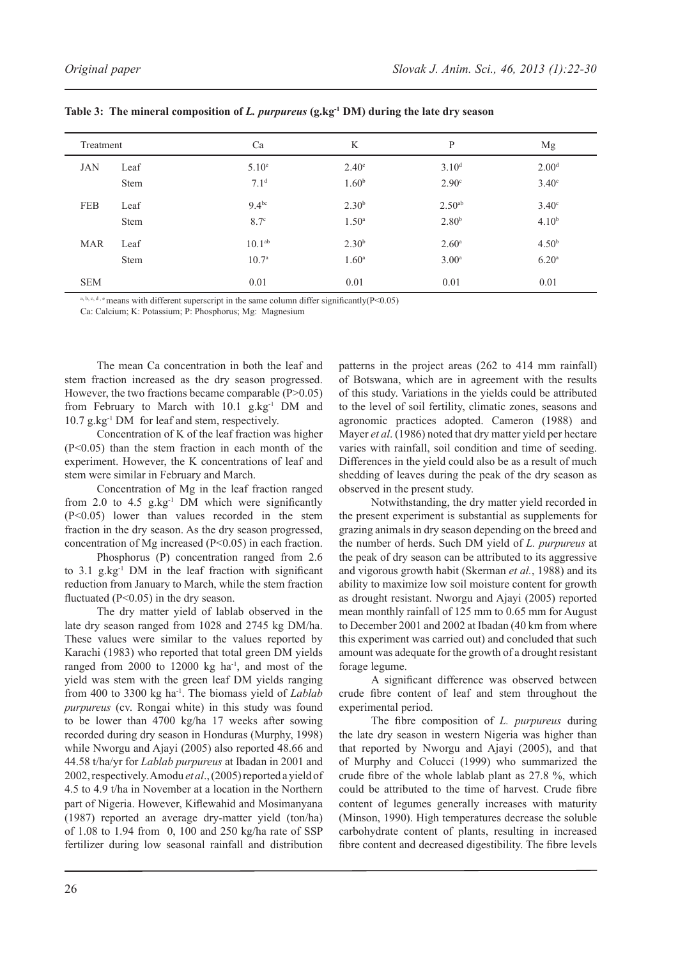| Treatment  |      | Ca                 | K                 | P                  | Mg                |
|------------|------|--------------------|-------------------|--------------------|-------------------|
| <b>JAN</b> | Leaf | 5.10 <sup>e</sup>  | $2.40^\circ$      | 3.10 <sup>d</sup>  | 2.00 <sup>d</sup> |
|            | Stem | 7.1 <sup>d</sup>   | 1.60 <sup>b</sup> | 2.90 <sup>c</sup>  | 3.40 <sup>c</sup> |
| <b>FEB</b> | Leaf | $9.4^{bc}$         | 2.30 <sup>b</sup> | 2.50 <sup>ab</sup> | $3.40^\circ$      |
|            | Stem | 8.7 <sup>c</sup>   | 1.50 <sup>a</sup> | 2.80 <sup>b</sup>  | 4.10 <sup>b</sup> |
| <b>MAR</b> | Leaf | 10.1 <sup>ab</sup> | 2.30 <sup>b</sup> | 2.60 <sup>a</sup>  | 4.50 <sup>b</sup> |
|            | Stem | 10.7 <sup>a</sup>  | 1.60 <sup>a</sup> | 3.00 <sup>a</sup>  | 6.20 <sup>a</sup> |
| <b>SEM</b> |      | 0.01               | 0.01              | 0.01               | 0.01              |

**Table 3: The mineral composition of** *L. purpureus* **(g.kg-1 DM) during the late dry season**

a, b, c, d, e means with different superscript in the same column differ significantly( $P < 0.05$ )

Ca: Calcium; K: Potassium; P: Phosphorus; Mg: Magnesium

The mean Ca concentration in both the leaf and stem fraction increased as the dry season progressed. However, the two fractions became comparable  $(P>0.05)$ from February to March with  $10.1$  g.kg<sup>-1</sup> DM and 10.7 g.kg-1 DM for leaf and stem, respectively.

Concentration of K of the leaf fraction was higher  $(P<0.05)$  than the stem fraction in each month of the experiment. However, the K concentrations of leaf and stem were similar in February and March.

Concentration of Mg in the leaf fraction ranged from 2.0 to 4.5  $g$ .kg<sup>-1</sup> DM which were significantly  $(P<0.05)$  lower than values recorded in the stem fraction in the dry season. As the dry season progressed, concentration of Mg increased  $(P<0.05)$  in each fraction.

Phosphorus (P) concentration ranged from 2.6 to  $3.1$  g.kg<sup>-1</sup> DM in the leaf fraction with significant reduction from January to March, while the stem fraction fluctuated (P<0.05) in the dry season.

The dry matter yield of lablab observed in the late dry season ranged from 1028 and 2745 kg DM/ha. These values were similar to the values reported by Karachi (1983) who reported that total green DM yields ranged from  $2000$  to  $12000$  kg ha<sup>-1</sup>, and most of the yield was stem with the green leaf DM yields ranging from 400 to 3300 kg ha-1. The biomass yield of *Lablab purpureus* (cv. Rongai white) in this study was found to be lower than 4700 kg/ha 17 weeks after sowing recorded during dry season in Honduras (Murphy, 1998) while Nworgu and Ajayi (2005) also reported 48.66 and 44.58 t/ha/yr for *Lablab purpureus* at Ibadan in 2001 and 2002, respectively. Amodu *et al*., (2005) reported a yield of 4.5 to 4.9 t/ha in November at a location in the Northern part of Nigeria. However, Kiflewahid and Mosimanyana (1987) reported an average dry-matter yield (ton/ha) of 1.08 to 1.94 from 0, 100 and 250 kg/ha rate of SSP fertilizer during low seasonal rainfall and distribution

patterns in the project areas (262 to 414 mm rainfall) of Botswana, which are in agreement with the results of this study. Variations in the yields could be attributed to the level of soil fertility, climatic zones, seasons and agronomic practices adopted. Cameron (1988) and Mayer *et al*. (1986) noted that dry matter yield per hectare varies with rainfall, soil condition and time of seeding. Differences in the yield could also be as a result of much shedding of leaves during the peak of the dry season as observed in the present study.

Notwithstanding, the dry matter yield recorded in the present experiment is substantial as supplements for grazing animals in dry season depending on the breed and the number of herds. Such DM yield of *L. purpureus* at the peak of dry season can be attributed to its aggressive and vigorous growth habit (Skerman *et al.*, 1988) and its ability to maximize low soil moisture content for growth as drought resistant. Nworgu and Ajayi (2005) reported mean monthly rainfall of 125 mm to 0.65 mm for August to December 2001 and 2002 at Ibadan (40 km from where this experiment was carried out) and concluded that such amount was adequate for the growth of a drought resistant forage legume.

A significant difference was observed between crude fibre content of leaf and stem throughout the experimental period.

The fibre composition of *L. purpureus* during the late dry season in western Nigeria was higher than that reported by Nworgu and Ajayi (2005), and that of Murphy and Colucci (1999) who summarized the crude fibre of the whole lablab plant as 27.8 %, which could be attributed to the time of harvest. Crude fibre content of legumes generally increases with maturity (Minson, 1990). High temperatures decrease the soluble carbohydrate content of plants, resulting in increased fibre content and decreased digestibility. The fibre levels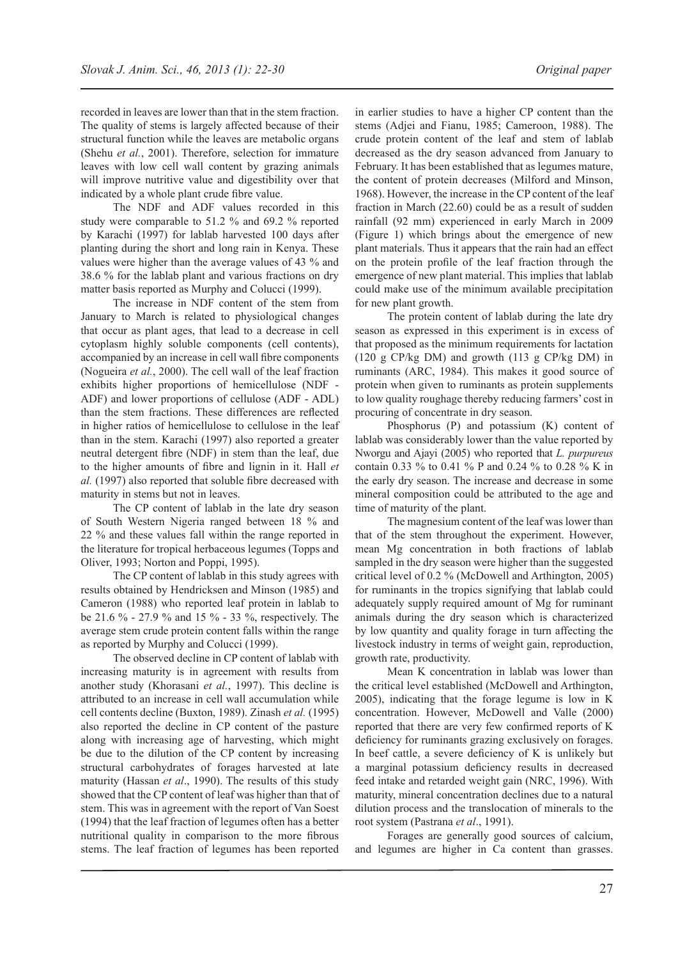recorded in leaves are lower than that in the stem fraction. The quality of stems is largely affected because of their structural function while the leaves are metabolic organs (Shehu *et al.*, 2001). Therefore, selection for immature leaves with low cell wall content by grazing animals will improve nutritive value and digestibility over that indicated by a whole plant crude fibre value.

The NDF and ADF values recorded in this study were comparable to 51.2 % and 69.2 % reported by Karachi (1997) for lablab harvested 100 days after planting during the short and long rain in Kenya. These values were higher than the average values of 43 % and 38.6 % for the lablab plant and various fractions on dry matter basis reported as Murphy and Colucci (1999).

The increase in NDF content of the stem from January to March is related to physiological changes that occur as plant ages, that lead to a decrease in cell cytoplasm highly soluble components (cell contents), accompanied by an increase in cell wall fibre components (Nogueira *et al.*, 2000). The cell wall of the leaf fraction exhibits higher proportions of hemicellulose (NDF - ADF) and lower proportions of cellulose (ADF - ADL) than the stem fractions. These differences are reflected in higher ratios of hemicellulose to cellulose in the leaf than in the stem. Karachi (1997) also reported a greater neutral detergent fibre (NDF) in stem than the leaf, due to the higher amounts of fibre and lignin in it. Hall *et al.* (1997) also reported that soluble fibre decreased with maturity in stems but not in leaves.

The CP content of lablab in the late dry season of South Western Nigeria ranged between 18 % and 22 % and these values fall within the range reported in the literature for tropical herbaceous legumes (Topps and Oliver, 1993; Norton and Poppi, 1995).

The CP content of lablab in this study agrees with results obtained by Hendricksen and Minson (1985) and Cameron (1988) who reported leaf protein in lablab to be 21.6 % - 27.9 % and 15 % - 33 %, respectively. The average stem crude protein content falls within the range as reported by Murphy and Colucci (1999).

The observed decline in CP content of lablab with increasing maturity is in agreement with results from another study (Khorasani *et al.*, 1997). This decline is attributed to an increase in cell wall accumulation while cell contents decline (Buxton, 1989). Zinash *et al.* (1995) also reported the decline in CP content of the pasture along with increasing age of harvesting, which might be due to the dilution of the CP content by increasing structural carbohydrates of forages harvested at late maturity (Hassan *et al*., 1990). The results of this study showed that the CP content of leaf was higher than that of stem. This was in agreement with the report of Van Soest (1994) that the leaf fraction of legumes often has a better nutritional quality in comparison to the more fibrous stems. The leaf fraction of legumes has been reported

in earlier studies to have a higher CP content than the stems (Adjei and Fianu, 1985; Cameroon, 1988). The crude protein content of the leaf and stem of lablab decreased as the dry season advanced from January to February. It has been established that as legumes mature, the content of protein decreases (Milford and Minson, 1968). However, the increase in the CP content of the leaf fraction in March (22.60) could be as a result of sudden rainfall (92 mm) experienced in early March in 2009 (Figure 1) which brings about the emergence of new plant materials. Thus it appears that the rain had an effect on the protein profile of the leaf fraction through the emergence of new plant material. This implies that lablab could make use of the minimum available precipitation for new plant growth.

The protein content of lablab during the late dry season as expressed in this experiment is in excess of that proposed as the minimum requirements for lactation (120 g CP/kg DM) and growth (113 g CP/kg DM) in ruminants (ARC, 1984). This makes it good source of protein when given to ruminants as protein supplements to low quality roughage thereby reducing farmers' cost in procuring of concentrate in dry season.

Phosphorus (P) and potassium (K) content of lablab was considerably lower than the value reported by Nworgu and Ajayi (2005) who reported that *L. purpureus* contain 0.33 % to 0.41 % P and 0.24 % to 0.28 % K in the early dry season. The increase and decrease in some mineral composition could be attributed to the age and time of maturity of the plant.

The magnesium content of the leaf was lower than that of the stem throughout the experiment. However, mean Mg concentration in both fractions of lablab sampled in the dry season were higher than the suggested critical level of 0.2 % (McDowell and Arthington, 2005) for ruminants in the tropics signifying that lablab could adequately supply required amount of Mg for ruminant animals during the dry season which is characterized by low quantity and quality forage in turn affecting the livestock industry in terms of weight gain, reproduction, growth rate, productivity.

Mean K concentration in lablab was lower than the critical level established (McDowell and Arthington, 2005), indicating that the forage legume is low in K concentration. However, McDowell and Valle (2000) reported that there are very few confirmed reports of K deficiency for ruminants grazing exclusively on forages. In beef cattle, a severe deficiency of K is unlikely but a marginal potassium deficiency results in decreased feed intake and retarded weight gain (NRC, 1996). With maturity, mineral concentration declines due to a natural dilution process and the translocation of minerals to the root system (Pastrana *et al*., 1991).

Forages are generally good sources of calcium, and legumes are higher in Ca content than grasses.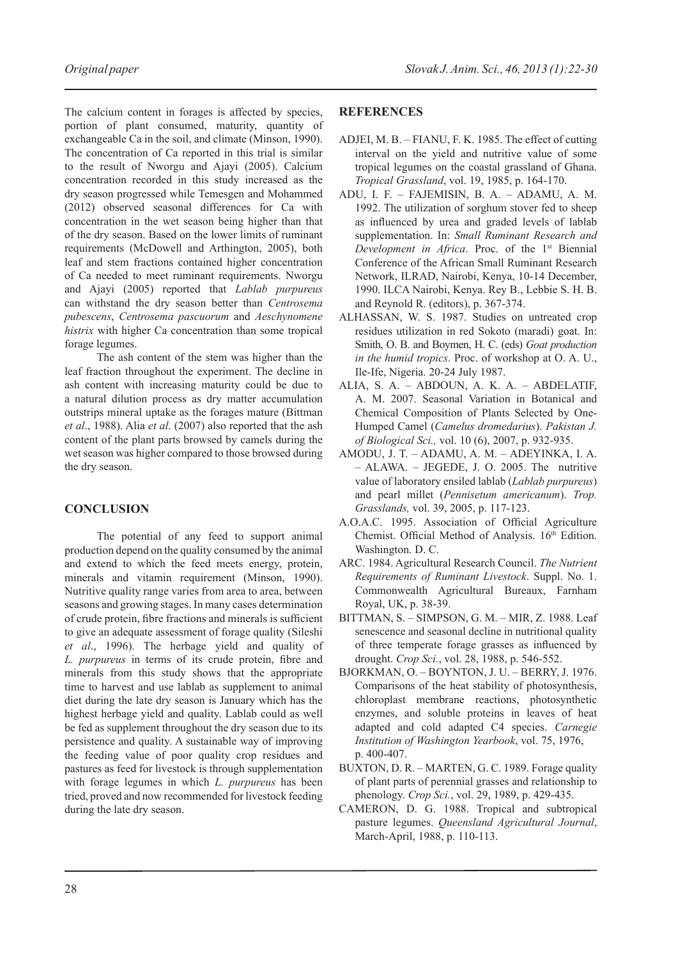The calcium content in forages is affected by species, portion of plant consumed, maturity, quantity of exchangeable Ca in the soil, and climate (Minson, 1990). The concentration of Ca reported in this trial is similar to the result of Nworgu and Ajayi (2005). Calcium concentration recorded in this study increased as the dry season progressed while Temesgen and Mohammed (2012) observed seasonal differences for Ca with concentration in the wet season being higher than that of the dry season. Based on the lower limits of ruminant requirements (McDowell and Arthington, 2005), both leaf and stem fractions contained higher concentration of Ca needed to meet ruminant requirements. Nworgu and Ajayi (2005) reported that *Lablab purpureus* can withstand the dry season better than *Centrosema pubescens*, *Centrosema pascuorum* and *Aeschynomene histrix* with higher Ca concentration than some tropical forage legumes.

The ash content of the stem was higher than the leaf fraction throughout the experiment. The decline in ash content with increasing maturity could be due to a natural dilution process as dry matter accumulation outstrips mineral uptake as the forages mature (Bittman *et al*., 1988). Alia *et al*. (2007) also reported that the ash content of the plant parts browsed by camels during the wet season was higher compared to those browsed during the dry season.

## **Conclusion**

The potential of any feed to support animal production depend on the quality consumed by the animal and extend to which the feed meets energy, protein, minerals and vitamin requirement (Minson, 1990). Nutritive quality range varies from area to area, between seasons and growing stages. In many cases determination of crude protein, fibre fractions and minerals is sufficient to give an adequate assessment of forage quality (Sileshi *et al*., 1996). The herbage yield and quality of *L. purpureus* in terms of its crude protein, fibre and minerals from this study shows that the appropriate time to harvest and use lablab as supplement to animal diet during the late dry season is January which has the highest herbage yield and quality. Lablab could as well be fed as supplement throughout the dry season due to its persistence and quality. A sustainable way of improving the feeding value of poor quality crop residues and pastures as feed for livestock is through supplementation with forage legumes in which *L. purpureus* has been tried, proved and now recommended for livestock feeding during the late dry season.

## **References**

- ADJEI, M. B. FIANU, F. K. 1985. The effect of cutting interval on the yield and nutritive value of some tropical legumes on the coastal grassland of Ghana. *Tropical Grassland*, vol. 19, 1985, p. 164-170.
- Adu, I. F. Fajemisin, B. A. Adamu, A. M. 1992. The utilization of sorghum stover fed to sheep as influenced by urea and graded levels of lablab supplementation. In: *Small Ruminant Research and Development in Africa*. Proc. of the 1<sup>st</sup> Biennial Conference of the African Small Ruminant Research Network, ILRAD, Nairobi, Kenya, 10-14 December, 1990. ILCA Nairobi, Kenya. Rey B., Lebbie S. H. B. and Reynold R. (editors), p. 367-374.
- Alhassan, W. S. 1987. Studies on untreated crop residues utilization in red Sokoto (maradi) goat. In: Smith, O. B. and Boymen, H. C. (eds) *Goat production in the humid tropics*. Proc. of workshop at O. A. U., Ile-Ife, Nigeria. 20-24 July 1987.
- Alia, S. A. Abdoun, A. K. A. Abdelatif, A. M. 2007. Seasonal Variation in Botanical and Chemical Composition of Plants Selected by One-Humped Camel (*Camelus dromedarius*). *Pakistan J. of Biological Sci.,* vol. 10 (6), 2007, p. 932-935.
- Amodu, J. T. Adamu, A. M. Adeyinka, I. A. – Alawa. – Jegede, J. O. 2005. The nutritive value of laboratory ensiled lablab (*Lablab purpureus*) and pearl millet (*Pennisetum americanum*). *Trop. Grasslands,* vol. 39, 2005, p. 117-123.
- A.O.A.C. 1995. Association of Official Agriculture Chemist. Official Method of Analysis. 16th Edition. Washington. D. C.
- ARC. 1984. Agricultural Research Council. *The Nutrient Requirements of Ruminant Livestock*. Suppl. No. 1. Commonwealth Agricultural Bureaux, Farnham Royal, UK, p. 38-39.
- Bittman, S. Simpson, G. M. Mir, Z. 1988. Leaf senescence and seasonal decline in nutritional quality of three temperate forage grasses as influenced by drought. *Crop Sci.*, vol. 28, 1988, p. 546-552.
- Bjorkman, O. Boynton, J. U. Berry, J. 1976. Comparisons of the heat stability of photosynthesis, chloroplast membrane reactions, photosynthetic enzymes, and soluble proteins in leaves of heat adapted and cold adapted C4 species. *Carnegie Institution of Washington Yearbook*, vol. 75, 1976, p. 400-407.
- BUXTON, D. R. MARTEN, G. C. 1989. Forage quality of plant parts of perennial grasses and relationship to phenology. *Crop Sci.*, vol. 29, 1989, p. 429-435.
- CAMERON, D. G. 1988. Tropical and subtropical pasture legumes. *Queensland Agricultural Journal*, March-April, 1988, p. 110-113.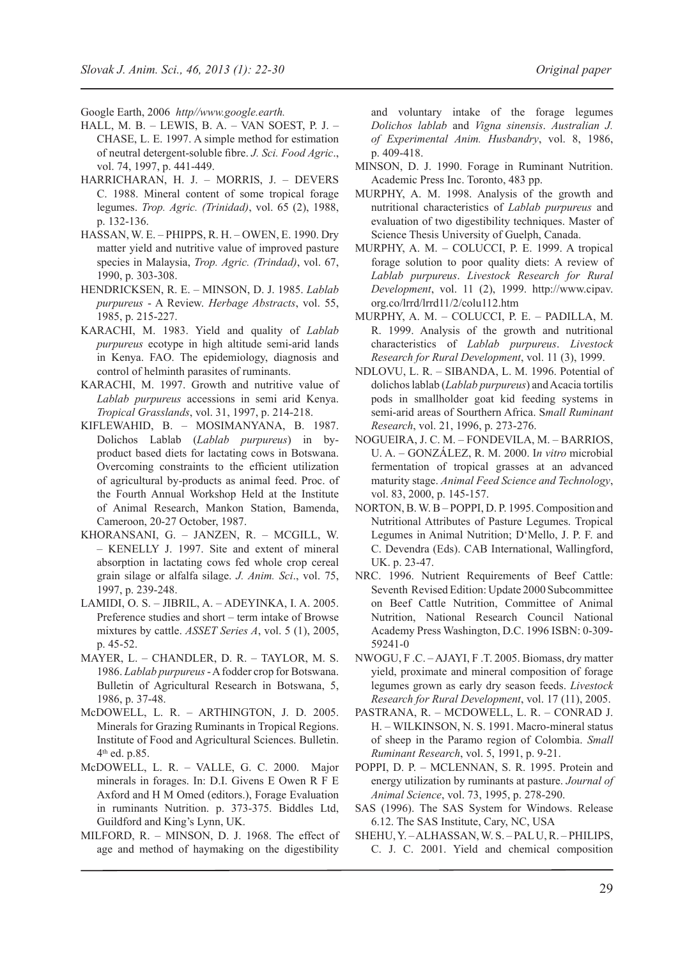Google Earth, 2006 *http//www.google.earth.*

- Hall, M. B. Lewis, B. A. Van Soest, P. J. Chase, L. E. 1997. A simple method for estimation of neutral detergent-soluble fibre. *J. Sci. Food Agric*., vol. 74, 1997, p. 441-449.
- Harricharan, H. J. Morris, J. Devers C. 1988. Mineral content of some tropical forage legumes. *Trop. Agric. (Trinidad)*, vol. 65 (2), 1988, p. 132-136.
- Hassan, W. E. Phipps, R. H. Owen, E. 1990. Dry matter yield and nutritive value of improved pasture species in Malaysia, *Trop. Agric. (Trindad)*, vol. 67, 1990, p. 303-308.
- Hendricksen, R. E. Minson, D. J. 1985. *Lablab purpureus* - A Review. *Herbage Abstracts*, vol. 55, 1985, p. 215-227.
- KARACHI, M. 1983. Yield and quality of *Lablab purpureus* ecotype in high altitude semi-arid lands in Kenya. FAO. The epidemiology, diagnosis and control of helminth parasites of ruminants.
- KARACHI, M. 1997. Growth and nutritive value of *Lablab purpureus* accessions in semi arid Kenya. *Tropical Grasslands*, vol. 31, 1997, p. 214-218.
- Kiflewahid, B. Mosimanyana, B. 1987. Dolichos Lablab (*Lablab purpureus*) in byproduct based diets for lactating cows in Botswana. Overcoming constraints to the efficient utilization of agricultural by-products as animal feed. Proc. of the Fourth Annual Workshop Held at the Institute of Animal Research, Mankon Station, Bamenda, Cameroon, 20-27 October, 1987.
- Khoransani, G. Janzen, R. McGill, W. – Kenelly J. 1997. Site and extent of mineral absorption in lactating cows fed whole crop cereal grain silage or alfalfa silage. *J. Anim. Sci*., vol. 75, 1997, p. 239-248.
- Lamidi, O. S. Jibril, A. Adeyinka, I. A. 2005. Preference studies and short – term intake of Browse mixtures by cattle. *Asset Series A*, vol. 5 (1), 2005, p. 45-52.
- Mayer, L. Chandler, D. R. Taylor, M. S. 1986. *Lablab purpureus* - A fodder crop for Botswana. Bulletin of Agricultural Research in Botswana, 5, 1986, p. 37-48.
- McDowell, L. R. Arthington, J. D. 2005. Minerals for Grazing Ruminants in Tropical Regions. Institute of Food and Agricultural Sciences. Bulletin. 4th ed. p.85.
- McDowell, L. R. Valle, G. C. 2000. Major minerals in forages. In: D.I. Givens E Owen R F E Axford and H M Omed (editors.), Forage Evaluation in ruminants Nutrition. p. 373-375. Biddles Ltd, Guildford and King's Lynn, UK.
- Milford, R. Minson, D. J. 1968. The effect of age and method of haymaking on the digestibility

and voluntary intake of the forage legumes *Dolichos lablab* and *Vigna sinensis*. *Australian J. of Experimental Anim. Husbandry*, vol. 8, 1986, p. 409-418.

- Minson, D. J. 1990. Forage in Ruminant Nutrition. Academic Press Inc. Toronto, 483 pp.
- Murphy, A. M. 1998. Analysis of the growth and nutritional characteristics of *Lablab purpureus* and evaluation of two digestibility techniques. Master of Science Thesis University of Guelph, Canada.
- Murphy, A. M. Colucci, P. E. 1999. A tropical forage solution to poor quality diets: A review of *Lablab purpureus*. *Livestock Research for Rural Development*, vol. 11 (2), 1999. http://www.cipav. org.co/lrrd/lrrd11/2/colu112.htm
- Murphy, A. M. Colucci, P. E. Padilla, M. R. 1999. Analysis of the growth and nutritional characteristics of *Lablab purpureus*. *Livestock Research for Rural Development*, vol. 11 (3), 1999.
- NDLOVU, L. R. SIBANDA, L. M. 1996. Potential of dolichos lablab (*Lablab purpureus*) and Acacia tortilis pods in smallholder goat kid feeding systems in semi-arid areas of Sourthern Africa. S*mall Ruminant Research*, vol. 21, 1996, p. 273-276.
- Nogueira, J. C. M. Fondevila, M. Barrios, U. A. – González, R. M. 2000. I*n vitro* microbial fermentation of tropical grasses at an advanced maturity stage. *Animal Feed Science and Technology*, vol. 83, 2000, p. 145-157.
- NORTON, B. W. B POPPI, D. P. 1995. Composition and Nutritional Attributes of Pasture Legumes. Tropical Legumes in Animal Nutrition; D'Mello, J. P. F. and C. Devendra (Eds). CAB International, Wallingford, UK. p. 23-47.
- NRC. 1996. Nutrient Requirements of Beef Cattle: Seventh Revised Edition: Update 2000 Subcommittee on Beef Cattle Nutrition, Committee of Animal Nutrition, National Research Council National Academy Press Washington, D.C. 1996 ISBN: 0-309- 59241-0
- Nwogu, F .C. Ajayi, F .T. 2005. Biomass, dry matter yield, proximate and mineral composition of forage legumes grown as early dry season feeds. *Livestock Research for Rural Development*, vol. 17 (11), 2005.
- Pastrana, R. McDowell, L. R. Conrad J. H. – Wilkinson, N. S. 1991. Macro-mineral status of sheep in the Paramo region of Colombia. *Small Ruminant Research*, vol. 5, 1991, p. 9-21.
- POPPI, D. P. MCLENNAN, S. R. 1995. Protein and energy utilization by ruminants at pasture. *Journal of Animal Science*, vol. 73, 1995, p. 278-290.
- SAS (1996). The SAS System for Windows. Release 6.12. The SAS Institute, Cary, NC, USA
- Shehu, Y. Alhassan, W. S. Pal U, R. Philips, C. J. C. 2001. Yield and chemical composition